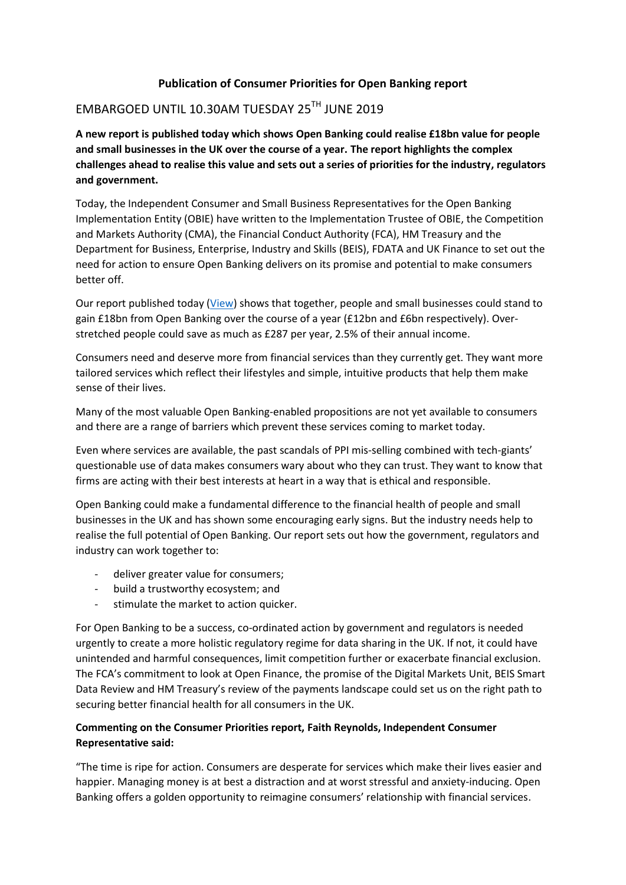## **Publication of Consumer Priorities for Open Banking report**

# EMBARGOED UNTIL 10.30AM TUESDAY 25TH JUNE 2019

**A new report is published today which shows Open Banking could realise £18bn value for people and small businesses in the UK over the course of a year. The report highlights the complex challenges ahead to realise this value and sets out a series of priorities for the industry, regulators and government.** 

Today, the Independent Consumer and Small Business Representatives for the Open Banking Implementation Entity (OBIE) have written to the Implementation Trustee of OBIE, the Competition and Markets Authority (CMA), the Financial Conduct Authority (FCA), HM Treasury and the Department for Business, Enterprise, Industry and Skills (BEIS), FDATA and UK Finance to set out the need for action to ensure Open Banking delivers on its promise and potential to make consumers better off.

Our report published today [\(View\)](https://www.openbanking.org.uk/wp-content/uploads/Consumer-Priorities-for-Open-Banking-report-June-2019.pdf) shows that together, people and small businesses could stand to gain £18bn from Open Banking over the course of a year (£12bn and £6bn respectively). Overstretched people could save as much as £287 per year, 2.5% of their annual income.

Consumers need and deserve more from financial services than they currently get. They want more tailored services which reflect their lifestyles and simple, intuitive products that help them make sense of their lives.

Many of the most valuable Open Banking-enabled propositions are not yet available to consumers and there are a range of barriers which prevent these services coming to market today.

Even where services are available, the past scandals of PPI mis-selling combined with tech-giants' questionable use of data makes consumers wary about who they can trust. They want to know that firms are acting with their best interests at heart in a way that is ethical and responsible.

Open Banking could make a fundamental difference to the financial health of people and small businesses in the UK and has shown some encouraging early signs. But the industry needs help to realise the full potential of Open Banking. Our report sets out how the government, regulators and industry can work together to:

- deliver greater value for consumers;
- build a trustworthy ecosystem; and
- stimulate the market to action quicker.

For Open Banking to be a success, co-ordinated action by government and regulators is needed urgently to create a more holistic regulatory regime for data sharing in the UK. If not, it could have unintended and harmful consequences, limit competition further or exacerbate financial exclusion. The FCA's commitment to look at Open Finance, the promise of the Digital Markets Unit, BEIS Smart Data Review and HM Treasury's review of the payments landscape could set us on the right path to securing better financial health for all consumers in the UK.

## **Commenting on the Consumer Priorities report, Faith Reynolds, Independent Consumer Representative said:**

"The time is ripe for action. Consumers are desperate for services which make their lives easier and happier. Managing money is at best a distraction and at worst stressful and anxiety-inducing. Open Banking offers a golden opportunity to reimagine consumers' relationship with financial services.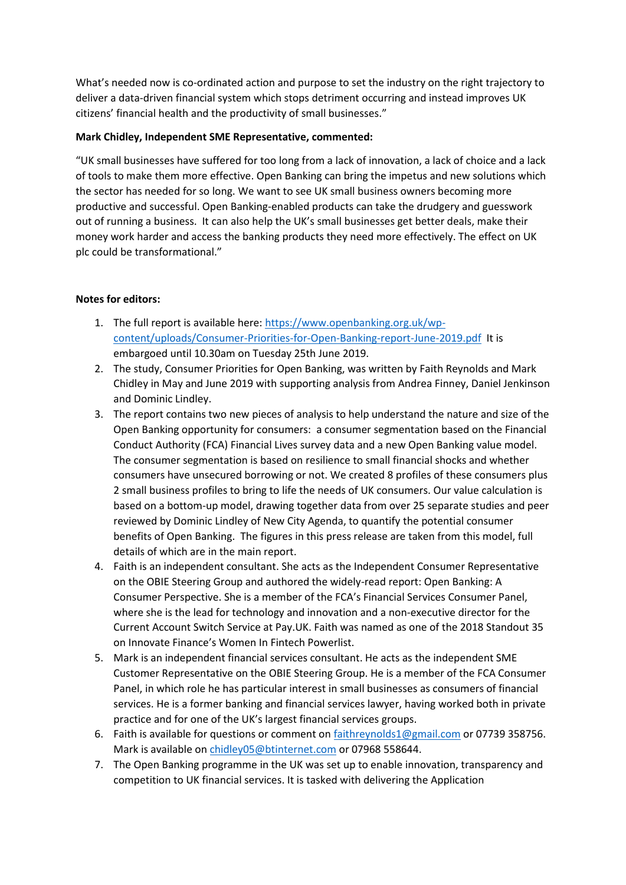What's needed now is co-ordinated action and purpose to set the industry on the right trajectory to deliver a data-driven financial system which stops detriment occurring and instead improves UK citizens' financial health and the productivity of small businesses."

### **Mark Chidley, Independent SME Representative, commented:**

"UK small businesses have suffered for too long from a lack of innovation, a lack of choice and a lack of tools to make them more effective. Open Banking can bring the impetus and new solutions which the sector has needed for so long. We want to see UK small business owners becoming more productive and successful. Open Banking-enabled products can take the drudgery and guesswork out of running a business. It can also help the UK's small businesses get better deals, make their money work harder and access the banking products they need more effectively. The effect on UK plc could be transformational."

### **Notes for editors:**

- 1. The full report is available here: [https://www.openbanking.org.uk/wp](https://www.openbanking.org.uk/wp-content/uploads/Consumer-Priorities-for-Open-Banking-report-June-2019.pdf)[content/uploads/Consumer-Priorities-for-Open-Banking-report-June-2019.pdf](https://www.openbanking.org.uk/wp-content/uploads/Consumer-Priorities-for-Open-Banking-report-June-2019.pdf) It is embargoed until 10.30am on Tuesday 25th June 2019.
- 2. The study, Consumer Priorities for Open Banking, was written by Faith Reynolds and Mark Chidley in May and June 2019 with supporting analysis from Andrea Finney, Daniel Jenkinson and Dominic Lindley.
- 3. The report contains two new pieces of analysis to help understand the nature and size of the Open Banking opportunity for consumers: a consumer segmentation based on the Financial Conduct Authority (FCA) Financial Lives survey data and a new Open Banking value model. The consumer segmentation is based on resilience to small financial shocks and whether consumers have unsecured borrowing or not. We created 8 profiles of these consumers plus 2 small business profiles to bring to life the needs of UK consumers. Our value calculation is based on a bottom-up model, drawing together data from over 25 separate studies and peer reviewed by Dominic Lindley of New City Agenda, to quantify the potential consumer benefits of Open Banking. The figures in this press release are taken from this model, full details of which are in the main report.
- 4. Faith is an independent consultant. She acts as the Independent Consumer Representative on the OBIE Steering Group and authored the widely-read report: Open Banking: A Consumer Perspective. She is a member of the FCA's Financial Services Consumer Panel, where she is the lead for technology and innovation and a non-executive director for the Current Account Switch Service at Pay.UK. Faith was named as one of the 2018 Standout 35 on Innovate Finance's Women In Fintech Powerlist.
- 5. Mark is an independent financial services consultant. He acts as the independent SME Customer Representative on the OBIE Steering Group. He is a member of the FCA Consumer Panel, in which role he has particular interest in small businesses as consumers of financial services. He is a former banking and financial services lawyer, having worked both in private practice and for one of the UK's largest financial services groups.
- 6. Faith is available for questions or comment on [faithreynolds1@gmail.com](mailto:faithreynolds1@gmail.com) or 07739 358756. Mark is available o[n chidley05@btinternet.com](mailto:chidley05@btinternet.com) or 07968 558644.
- 7. The Open Banking programme in the UK was set up to enable innovation, transparency and competition to UK financial services. It is tasked with delivering the Application